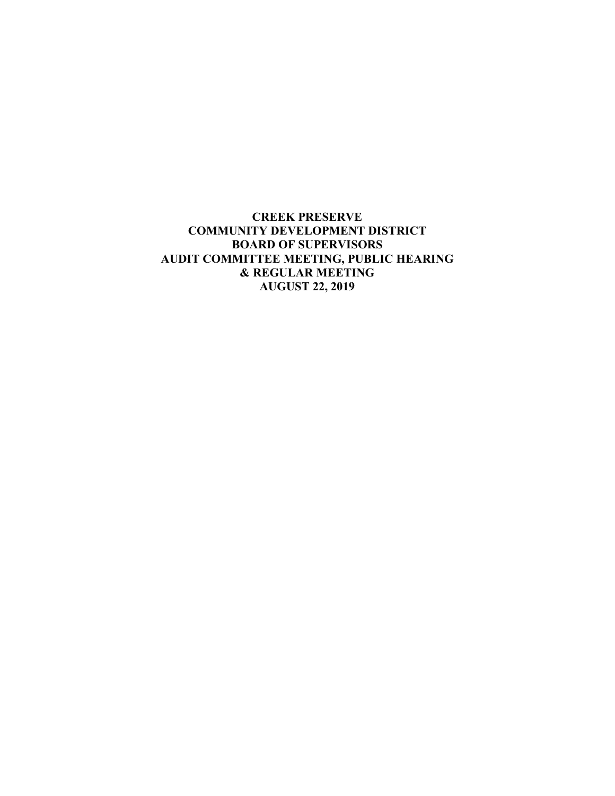**CREEK PRESERVE COMMUNITY DEVELOPMENT DISTRICT BOARD OF SUPERVISORS AUDIT COMMITTEE MEETING, PUBLIC HEARING & REGULAR MEETING AUGUST 22, 2019**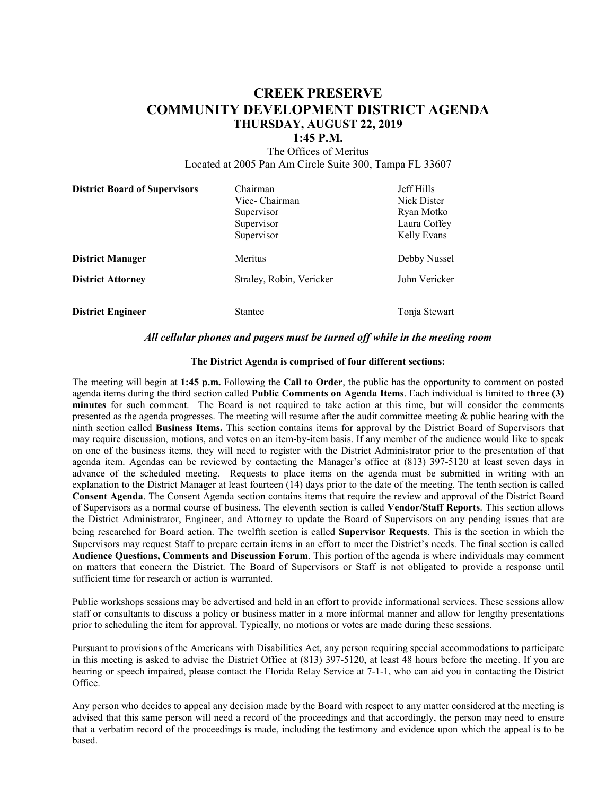## **CREEK PRESERVE COMMUNITY DEVELOPMENT DISTRICT AGENDA THURSDAY, AUGUST 22, 2019**

### **1:45 P.M.**

The Offices of Meritus Located at 2005 Pan Am Circle Suite 300, Tampa FL 33607

| <b>District Board of Supervisors</b> | Chairman<br>Vice- Chairman<br>Supervisor | Jeff Hills<br>Nick Dister<br>Ryan Motko |
|--------------------------------------|------------------------------------------|-----------------------------------------|
|                                      | Supervisor<br>Supervisor                 | Laura Coffey<br>Kelly Evans             |
| <b>District Manager</b>              | Meritus                                  | Debby Nussel                            |
| <b>District Attorney</b>             | Straley, Robin, Vericker                 | John Vericker                           |
| <b>District Engineer</b>             | <b>Stantec</b>                           | Tonja Stewart                           |

#### *All cellular phones and pagers must be turned off while in the meeting room*

#### **The District Agenda is comprised of four different sections:**

The meeting will begin at **1:45 p.m.** Following the **Call to Order**, the public has the opportunity to comment on posted agenda items during the third section called **Public Comments on Agenda Items**. Each individual is limited to **three (3) minutes** for such comment. The Board is not required to take action at this time, but will consider the comments presented as the agenda progresses. The meeting will resume after the audit committee meeting  $\&$  public hearing with the ninth section called **Business Items.** This section contains items for approval by the District Board of Supervisors that may require discussion, motions, and votes on an item-by-item basis. If any member of the audience would like to speak on one of the business items, they will need to register with the District Administrator prior to the presentation of that agenda item. Agendas can be reviewed by contacting the Manager's office at (813) 397-5120 at least seven days in advance of the scheduled meeting. Requests to place items on the agenda must be submitted in writing with an explanation to the District Manager at least fourteen (14) days prior to the date of the meeting. The tenth section is called **Consent Agenda**. The Consent Agenda section contains items that require the review and approval of the District Board of Supervisors as a normal course of business. The eleventh section is called **Vendor/Staff Reports**. This section allows the District Administrator, Engineer, and Attorney to update the Board of Supervisors on any pending issues that are being researched for Board action. The twelfth section is called **Supervisor Requests**. This is the section in which the Supervisors may request Staff to prepare certain items in an effort to meet the District's needs. The final section is called **Audience Questions, Comments and Discussion Forum**. This portion of the agenda is where individuals may comment on matters that concern the District. The Board of Supervisors or Staff is not obligated to provide a response until sufficient time for research or action is warranted.

Public workshops sessions may be advertised and held in an effort to provide informational services. These sessions allow staff or consultants to discuss a policy or business matter in a more informal manner and allow for lengthy presentations prior to scheduling the item for approval. Typically, no motions or votes are made during these sessions.

Pursuant to provisions of the Americans with Disabilities Act, any person requiring special accommodations to participate in this meeting is asked to advise the District Office at (813) 397-5120, at least 48 hours before the meeting. If you are hearing or speech impaired, please contact the Florida Relay Service at 7-1-1, who can aid you in contacting the District Office.

Any person who decides to appeal any decision made by the Board with respect to any matter considered at the meeting is advised that this same person will need a record of the proceedings and that accordingly, the person may need to ensure that a verbatim record of the proceedings is made, including the testimony and evidence upon which the appeal is to be based.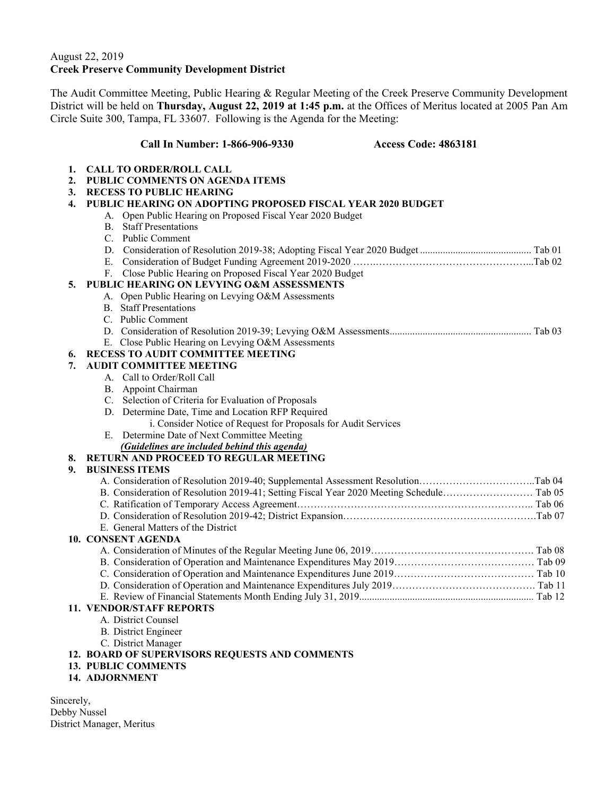## August 22, 2019 **Creek Preserve Community Development District**

The Audit Committee Meeting, Public Hearing & Regular Meeting of the Creek Preserve Community Development District will be held on **Thursday, August 22, 2019 at 1:45 p.m.** at the Offices of Meritus located at 2005 Pan Am Circle Suite 300, Tampa, FL 33607. Following is the Agenda for the Meeting:

#### **Call In Number: 1-866-906-9330 Access Code: 4863181**

- **1. CALL TO ORDER/ROLL CALL**
- **2. PUBLIC COMMENTS ON AGENDA ITEMS**
- **3. RECESS TO PUBLIC HEARING**

#### **4. PUBLIC HEARING ON ADOPTING PROPOSED FISCAL YEAR 2020 BUDGET**

- A. Open Public Hearing on Proposed Fiscal Year 2020 Budget
- B. Staff Presentations
- C. Public Comment
- D. Consideration of Resolution 2019-38; Adopting Fiscal Year 2020 Budget ............................................ Tab 01
- E. Consideration of Budget Funding Agreement 2019-2020 …….………………………………………...Tab 02
- F. Close Public Hearing on Proposed Fiscal Year 2020 Budget

## **5. PUBLIC HEARING ON LEVYING O&M ASSESSMENTS**

- A. Open Public Hearing on Levying O&M Assessments
- B. Staff Presentations
- C. Public Comment
- D. Consideration of Resolution 2019-39; Levying O&M Assessments ........................................................ Tab 03
- E. Close Public Hearing on Levying O&M Assessments

#### **6. RECESS TO AUDIT COMMITTEE MEETING**

#### **7. AUDIT COMMITTEE MEETING**

- A. Call to Order/Roll Call
	- B. Appoint Chairman
	- C. Selection of Criteria for Evaluation of Proposals
	- D. Determine Date, Time and Location RFP Required
		- i. Consider Notice of Request for Proposals for Audit Services
	- E. Determine Date of Next Committee Meeting
		- *(Guidelines are included behind this agenda)*

## **8. RETURN AND PROCEED TO REGULAR MEETING**

## **9. BUSINESS ITEMS**

| E. General Matters of the District |  |
|------------------------------------|--|
| 10. CONSENT AGENDA                 |  |
|                                    |  |
|                                    |  |
|                                    |  |

- D. Consideration of Operation and Maintenance Expenditures July 2019……………………………………. Tab 11
- E. Review of Financial Statements Month Ending July 31, 2019..................................................................... Tab 12

## **11. VENDOR/STAFF REPORTS**

- A. District Counsel
- B. District Engineer
- C. District Manager

#### **12. BOARD OF SUPERVISORS REQUESTS AND COMMENTS**

- **13. PUBLIC COMMENTS**
- **14. ADJORNMENT**

Sincerely, Debby Nussel District Manager, Meritus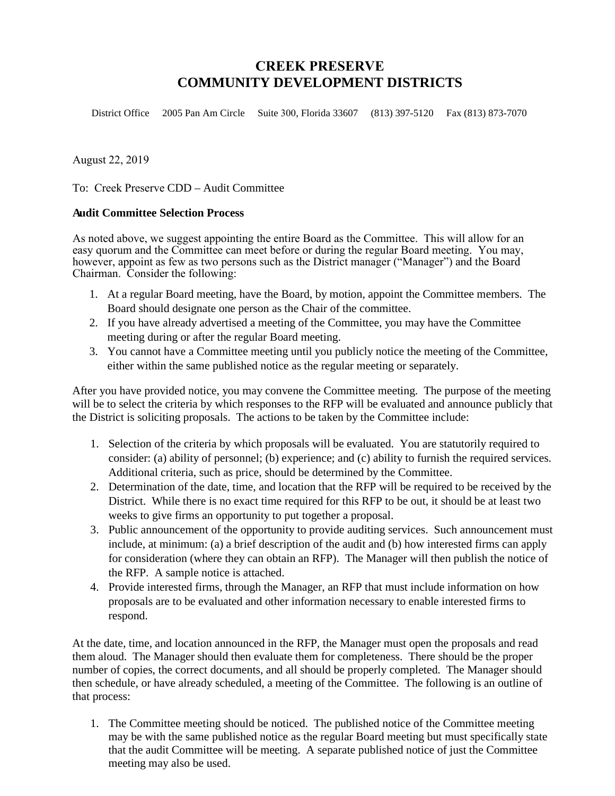# **CREEK PRESERVE COMMUNITY DEVELOPMENT DISTRICTS**

District Office 2005 Pan Am Circle Suite 300, Florida 33607 (813) 397-5120 Fax (813) 873-7070

August 22, 2019

To: Creek Preserve CDD – Audit Committee

## **Audit Committee Selection Process**

As noted above, we suggest appointing the entire Board as the Committee. This will allow for an easy quorum and the Committee can meet before or during the regular Board meeting. You may, however, appoint as few as two persons such as the District manager ("Manager") and the Board Chairman. Consider the following:

- 1. At a regular Board meeting, have the Board, by motion, appoint the Committee members. The Board should designate one person as the Chair of the committee.
- 2. If you have already advertised a meeting of the Committee, you may have the Committee meeting during or after the regular Board meeting.
- 3. You cannot have a Committee meeting until you publicly notice the meeting of the Committee, either within the same published notice as the regular meeting or separately.

After you have provided notice, you may convene the Committee meeting. The purpose of the meeting will be to select the criteria by which responses to the RFP will be evaluated and announce publicly that the District is soliciting proposals. The actions to be taken by the Committee include:

- 1. Selection of the criteria by which proposals will be evaluated. You are statutorily required to consider: (a) ability of personnel; (b) experience; and (c) ability to furnish the required services. Additional criteria, such as price, should be determined by the Committee.
- 2. Determination of the date, time, and location that the RFP will be required to be received by the District. While there is no exact time required for this RFP to be out, it should be at least two weeks to give firms an opportunity to put together a proposal.
- 3. Public announcement of the opportunity to provide auditing services. Such announcement must include, at minimum: (a) a brief description of the audit and (b) how interested firms can apply for consideration (where they can obtain an RFP). The Manager will then publish the notice of the RFP. A sample notice is attached.
- 4. Provide interested firms, through the Manager, an RFP that must include information on how proposals are to be evaluated and other information necessary to enable interested firms to respond.

At the date, time, and location announced in the RFP, the Manager must open the proposals and read them aloud. The Manager should then evaluate them for completeness. There should be the proper number of copies, the correct documents, and all should be properly completed. The Manager should then schedule, or have already scheduled, a meeting of the Committee. The following is an outline of that process:

1. The Committee meeting should be noticed. The published notice of the Committee meeting may be with the same published notice as the regular Board meeting but must specifically state that the audit Committee will be meeting. A separate published notice of just the Committee meeting may also be used.